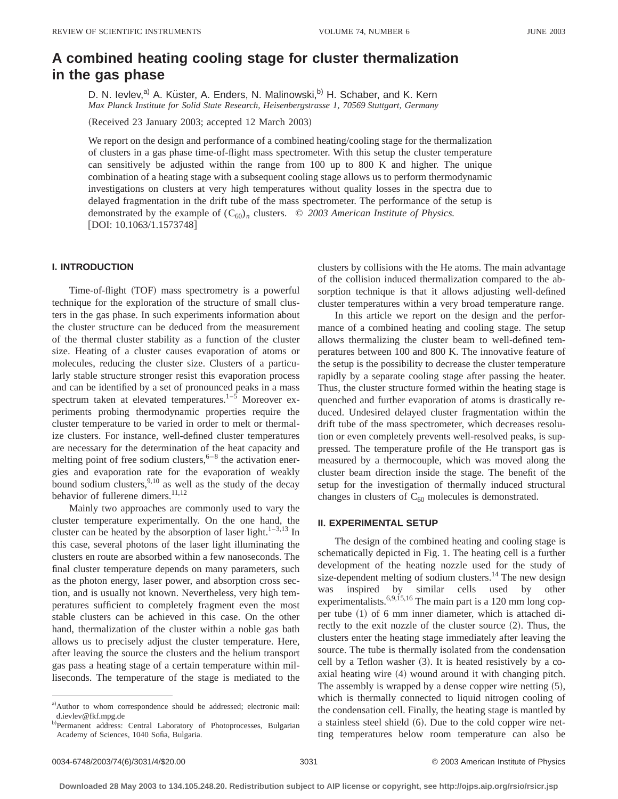# **A combined heating cooling stage for cluster thermalization in the gas phase**

D. N. Ievlev,<sup>a)</sup> A. Küster, A. Enders, N. Malinowski,<sup>b)</sup> H. Schaber, and K. Kern *Max Planck Institute for Solid State Research, Heisenbergstrasse 1, 70569 Stuttgart, Germany*

(Received 23 January 2003; accepted 12 March 2003)

We report on the design and performance of a combined heating/cooling stage for the thermalization of clusters in a gas phase time-of-flight mass spectrometer. With this setup the cluster temperature can sensitively be adjusted within the range from 100 up to 800 K and higher. The unique combination of a heating stage with a subsequent cooling stage allows us to perform thermodynamic investigations on clusters at very high temperatures without quality losses in the spectra due to delayed fragmentation in the drift tube of the mass spectrometer. The performance of the setup is demonstrated by the example of  $(C_{60})_n$  clusters.  $\odot$  2003 American Institute of Physics.  $[$ DOI: 10.1063/1.1573748 $]$ 

## **I. INTRODUCTION**

Time-of-flight (TOF) mass spectrometry is a powerful technique for the exploration of the structure of small clusters in the gas phase. In such experiments information about the cluster structure can be deduced from the measurement of the thermal cluster stability as a function of the cluster size. Heating of a cluster causes evaporation of atoms or molecules, reducing the cluster size. Clusters of a particularly stable structure stronger resist this evaporation process and can be identified by a set of pronounced peaks in a mass spectrum taken at elevated temperatures.<sup>1–5</sup> Moreover experiments probing thermodynamic properties require the cluster temperature to be varied in order to melt or thermalize clusters. For instance, well-defined cluster temperatures are necessary for the determination of the heat capacity and melting point of free sodium clusters,  $6-8$  the activation energies and evaporation rate for the evaporation of weakly bound sodium clusters,  $9,10$  as well as the study of the decay behavior of fullerene dimers.<sup>11,12</sup>

Mainly two approaches are commonly used to vary the cluster temperature experimentally. On the one hand, the cluster can be heated by the absorption of laser light. $1-3,13$  In this case, several photons of the laser light illuminating the clusters en route are absorbed within a few nanoseconds. The final cluster temperature depends on many parameters, such as the photon energy, laser power, and absorption cross section, and is usually not known. Nevertheless, very high temperatures sufficient to completely fragment even the most stable clusters can be achieved in this case. On the other hand, thermalization of the cluster within a noble gas bath allows us to precisely adjust the cluster temperature. Here, after leaving the source the clusters and the helium transport gas pass a heating stage of a certain temperature within milliseconds. The temperature of the stage is mediated to the clusters by collisions with the He atoms. The main advantage of the collision induced thermalization compared to the absorption technique is that it allows adjusting well-defined cluster temperatures within a very broad temperature range.

In this article we report on the design and the performance of a combined heating and cooling stage. The setup allows thermalizing the cluster beam to well-defined temperatures between 100 and 800 K. The innovative feature of the setup is the possibility to decrease the cluster temperature rapidly by a separate cooling stage after passing the heater. Thus, the cluster structure formed within the heating stage is quenched and further evaporation of atoms is drastically reduced. Undesired delayed cluster fragmentation within the drift tube of the mass spectrometer, which decreases resolution or even completely prevents well-resolved peaks, is suppressed. The temperature profile of the He transport gas is measured by a thermocouple, which was moved along the cluster beam direction inside the stage. The benefit of the setup for the investigation of thermally induced structural changes in clusters of  $C_{60}$  molecules is demonstrated.

## **II. EXPERIMENTAL SETUP**

The design of the combined heating and cooling stage is schematically depicted in Fig. 1. The heating cell is a further development of the heating nozzle used for the study of size-dependent melting of sodium clusters.<sup>14</sup> The new design was inspired by similar cells used by other experimentalists.<sup>6,9,15,16</sup> The main part is a 120 mm long copper tube  $(1)$  of 6 mm inner diameter, which is attached directly to the exit nozzle of the cluster source  $(2)$ . Thus, the clusters enter the heating stage immediately after leaving the source. The tube is thermally isolated from the condensation cell by a Teflon washer  $(3)$ . It is heated resistively by a coaxial heating wire  $(4)$  wound around it with changing pitch. The assembly is wrapped by a dense copper wire netting  $(5)$ , which is thermally connected to liquid nitrogen cooling of the condensation cell. Finally, the heating stage is mantled by a stainless steel shield  $(6)$ . Due to the cold copper wire netting temperatures below room temperature can also be

a)Author to whom correspondence should be addressed; electronic mail: d.ievlev@fkf.mpg.de

b)Permanent address: Central Laboratory of Photoprocesses, Bulgarian Academy of Sciences, 1040 Sofia, Bulgaria.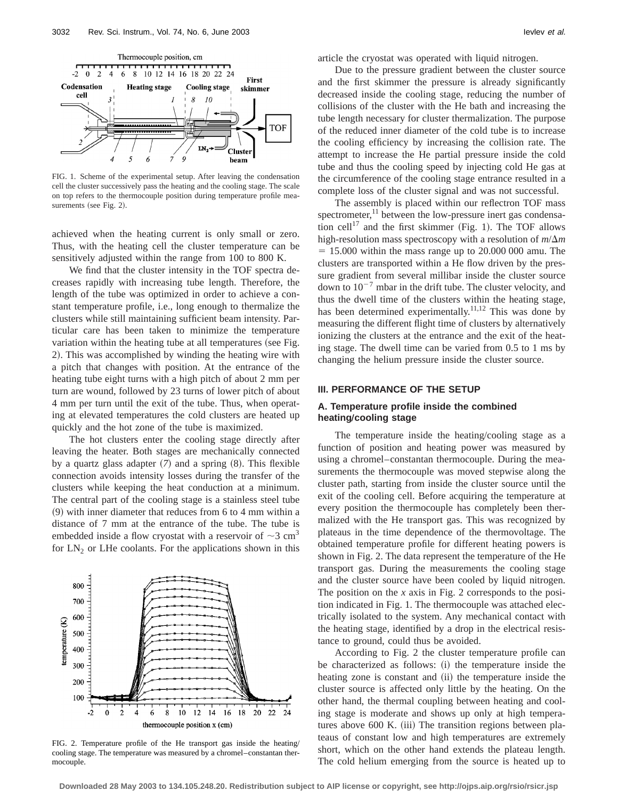

FIG. 1. Scheme of the experimental setup. After leaving the condensation cell the cluster successively pass the heating and the cooling stage. The scale on top refers to the thermocouple position during temperature profile measurements (see Fig. 2).

achieved when the heating current is only small or zero. Thus, with the heating cell the cluster temperature can be sensitively adjusted within the range from 100 to 800 K.

We find that the cluster intensity in the TOF spectra decreases rapidly with increasing tube length. Therefore, the length of the tube was optimized in order to achieve a constant temperature profile, i.e., long enough to thermalize the clusters while still maintaining sufficient beam intensity. Particular care has been taken to minimize the temperature variation within the heating tube at all temperatures (see Fig. 2). This was accomplished by winding the heating wire with a pitch that changes with position. At the entrance of the heating tube eight turns with a high pitch of about 2 mm per turn are wound, followed by 23 turns of lower pitch of about 4 mm per turn until the exit of the tube. Thus, when operating at elevated temperatures the cold clusters are heated up quickly and the hot zone of the tube is maximized.

The hot clusters enter the cooling stage directly after leaving the heater. Both stages are mechanically connected by a quartz glass adapter  $(7)$  and a spring  $(8)$ . This flexible connection avoids intensity losses during the transfer of the clusters while keeping the heat conduction at a minimum. The central part of the cooling stage is a stainless steel tube  $(9)$  with inner diameter that reduces from 6 to 4 mm within a distance of 7 mm at the entrance of the tube. The tube is embedded inside a flow cryostat with a reservoir of  $\sim$ 3 cm<sup>3</sup> for  $LN_2$  or LHe coolants. For the applications shown in this



FIG. 2. Temperature profile of the He transport gas inside the heating/ cooling stage. The temperature was measured by a chromel–constantan thermocouple.

article the cryostat was operated with liquid nitrogen.

Due to the pressure gradient between the cluster source and the first skimmer the pressure is already significantly decreased inside the cooling stage, reducing the number of collisions of the cluster with the He bath and increasing the tube length necessary for cluster thermalization. The purpose of the reduced inner diameter of the cold tube is to increase the cooling efficiency by increasing the collision rate. The attempt to increase the He partial pressure inside the cold tube and thus the cooling speed by injecting cold He gas at the circumference of the cooling stage entrance resulted in a complete loss of the cluster signal and was not successful.

The assembly is placed within our reflectron TOF mass spectrometer,<sup>11</sup> between the low-pressure inert gas condensation cell<sup>17</sup> and the first skimmer (Fig. 1). The TOF allows high-resolution mass spectroscopy with a resolution of  $m/\Delta m$  $= 15.000$  within the mass range up to 20.000 000 amu. The clusters are transported within a He flow driven by the pressure gradient from several millibar inside the cluster source down to  $10^{-7}$  mbar in the drift tube. The cluster velocity, and thus the dwell time of the clusters within the heating stage, has been determined experimentally.<sup>11,12</sup> This was done by measuring the different flight time of clusters by alternatively ionizing the clusters at the entrance and the exit of the heating stage. The dwell time can be varied from 0.5 to 1 ms by changing the helium pressure inside the cluster source.

#### **III. PERFORMANCE OF THE SETUP**

### **A. Temperature profile inside the combined heatingÕcooling stage**

The temperature inside the heating/cooling stage as a function of position and heating power was measured by using a chromel–constantan thermocouple. During the measurements the thermocouple was moved stepwise along the cluster path, starting from inside the cluster source until the exit of the cooling cell. Before acquiring the temperature at every position the thermocouple has completely been thermalized with the He transport gas. This was recognized by plateaus in the time dependence of the thermovoltage. The obtained temperature profile for different heating powers is shown in Fig. 2. The data represent the temperature of the He transport gas. During the measurements the cooling stage and the cluster source have been cooled by liquid nitrogen. The position on the *x* axis in Fig. 2 corresponds to the position indicated in Fig. 1. The thermocouple was attached electrically isolated to the system. Any mechanical contact with the heating stage, identified by a drop in the electrical resistance to ground, could thus be avoided.

According to Fig. 2 the cluster temperature profile can be characterized as follows: (i) the temperature inside the heating zone is constant and (ii) the temperature inside the cluster source is affected only little by the heating. On the other hand, the thermal coupling between heating and cooling stage is moderate and shows up only at high temperatures above 600 K. (iii) The transition regions between plateaus of constant low and high temperatures are extremely short, which on the other hand extends the plateau length. The cold helium emerging from the source is heated up to

**Downloaded 28 May 2003 to 134.105.248.20. Redistribution subject to AIP license or copyright, see http://ojps.aip.org/rsio/rsicr.jsp**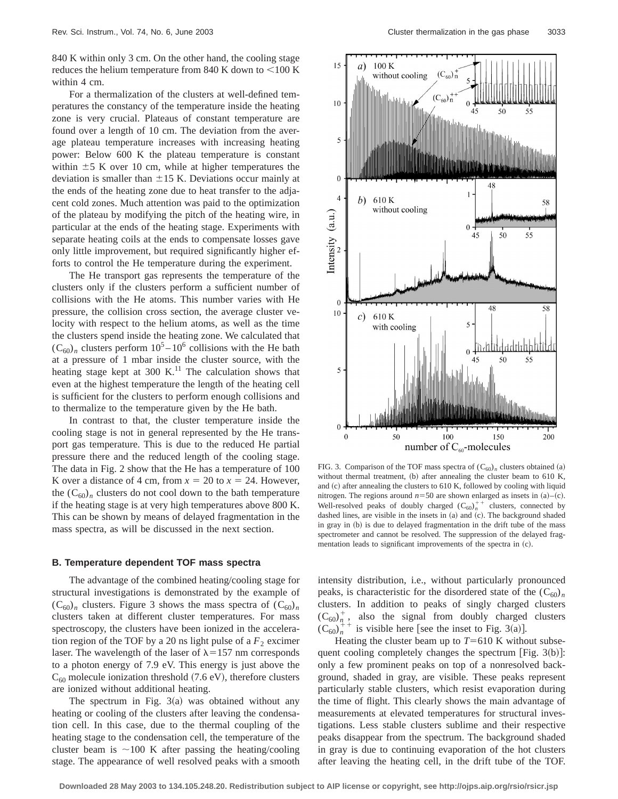840 K within only 3 cm. On the other hand, the cooling stage reduces the helium temperature from 840 K down to  $<$  100 K within 4 cm.

For a thermalization of the clusters at well-defined temperatures the constancy of the temperature inside the heating zone is very crucial. Plateaus of constant temperature are found over a length of 10 cm. The deviation from the average plateau temperature increases with increasing heating power: Below 600 K the plateau temperature is constant within  $\pm$  5 K over 10 cm, while at higher temperatures the deviation is smaller than  $\pm 15$  K. Deviations occur mainly at the ends of the heating zone due to heat transfer to the adjacent cold zones. Much attention was paid to the optimization of the plateau by modifying the pitch of the heating wire, in particular at the ends of the heating stage. Experiments with separate heating coils at the ends to compensate losses gave only little improvement, but required significantly higher efforts to control the He temperature during the experiment.

The He transport gas represents the temperature of the clusters only if the clusters perform a sufficient number of collisions with the He atoms. This number varies with He pressure, the collision cross section, the average cluster velocity with respect to the helium atoms, as well as the time the clusters spend inside the heating zone. We calculated that  $(C_{60})$ <sub>n</sub> clusters perform  $10^5 - 10^6$  collisions with the He bath at a pressure of 1 mbar inside the cluster source, with the heating stage kept at 300 K.<sup>11</sup> The calculation shows that even at the highest temperature the length of the heating cell is sufficient for the clusters to perform enough collisions and to thermalize to the temperature given by the He bath.

In contrast to that, the cluster temperature inside the cooling stage is not in general represented by the He transport gas temperature. This is due to the reduced He partial pressure there and the reduced length of the cooling stage. The data in Fig. 2 show that the He has a temperature of 100 K over a distance of 4 cm, from  $x = 20$  to  $x = 24$ . However, the  $(C_{60})_n$  clusters do not cool down to the bath temperature if the heating stage is at very high temperatures above 800 K. This can be shown by means of delayed fragmentation in the mass spectra, as will be discussed in the next section.

#### **B. Temperature dependent TOF mass spectra**

The advantage of the combined heating/cooling stage for structural investigations is demonstrated by the example of  $(C_{60})_n$  clusters. Figure 3 shows the mass spectra of  $(C_{60})_n$ clusters taken at different cluster temperatures. For mass spectroscopy, the clusters have been ionized in the acceleration region of the TOF by a 20 ns light pulse of a  $F<sub>2</sub>$  excimer laser. The wavelength of the laser of  $\lambda$ =157 nm corresponds to a photon energy of 7.9 eV. This energy is just above the  $C_{60}$  molecule ionization threshold (7.6 eV), therefore clusters are ionized without additional heating.

The spectrum in Fig.  $3(a)$  was obtained without any heating or cooling of the clusters after leaving the condensation cell. In this case, due to the thermal coupling of the heating stage to the condensation cell, the temperature of the cluster beam is  $\sim$ 100 K after passing the heating/cooling stage. The appearance of well resolved peaks with a smooth



FIG. 3. Comparison of the TOF mass spectra of  $(C_{60})$ <sub>n</sub> clusters obtained (a) without thermal treatment, (b) after annealing the cluster beam to 610 K, and  $(c)$  after annealing the clusters to 610 K, followed by cooling with liquid nitrogen. The regions around  $n=50$  are shown enlarged as insets in (a)–(c). Well-resolved peaks of doubly charged  $(C_{60})_n^{++}$  clusters, connected by dashed lines, are visible in the insets in  $(a)$  and  $(c)$ . The background shaded in gray in (b) is due to delayed fragmentation in the drift tube of the mass spectrometer and cannot be resolved. The suppression of the delayed fragmentation leads to significant improvements of the spectra in (c).

intensity distribution, i.e., without particularly pronounced peaks, is characteristic for the disordered state of the  $(C_{60})_n$ clusters. In addition to peaks of singly charged clusters  $(C_{60})^+_n$ , also the signal from doubly charged clusters  $(C_{60})_n^+$ <sup>+</sup> is visible here [see the inset to Fig. 3(a)].

Heating the cluster beam up to  $T=610$  K without subsequent cooling completely changes the spectrum [Fig.  $3(b)$ ]: only a few prominent peaks on top of a nonresolved background, shaded in gray, are visible. These peaks represent particularly stable clusters, which resist evaporation during the time of flight. This clearly shows the main advantage of measurements at elevated temperatures for structural investigations. Less stable clusters sublime and their respective peaks disappear from the spectrum. The background shaded in gray is due to continuing evaporation of the hot clusters after leaving the heating cell, in the drift tube of the TOF.